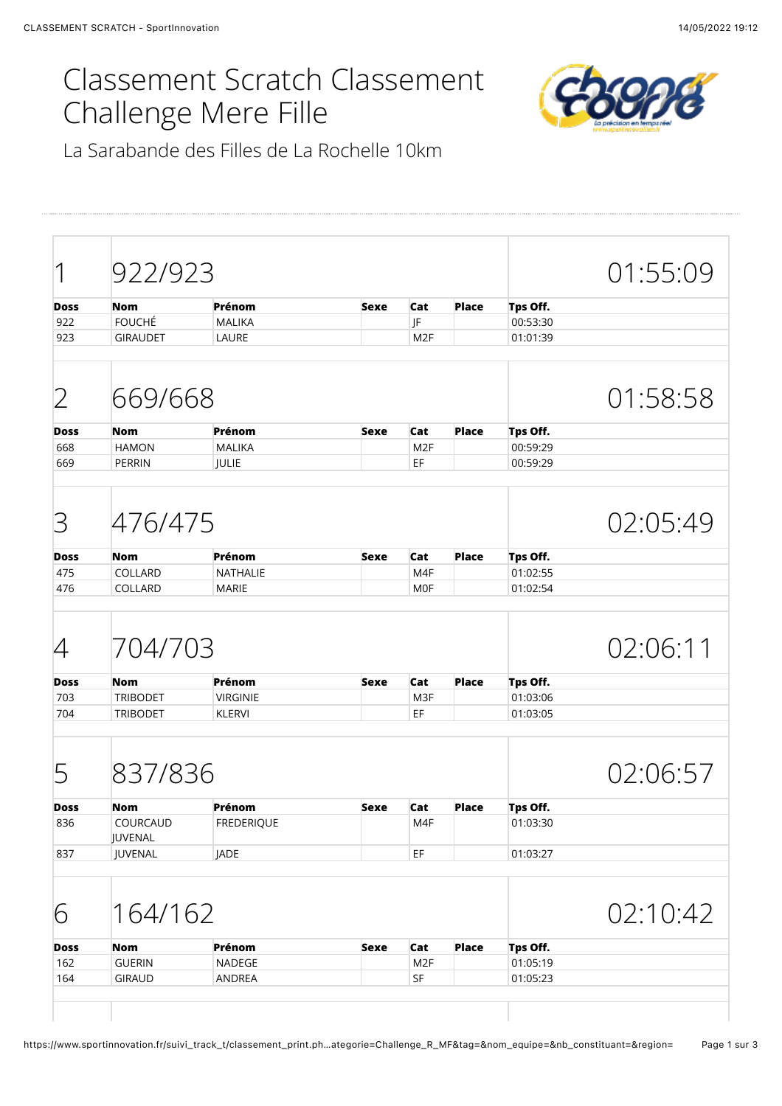## Classement Scratch Classement Challenge Mere Fille



La Sarabande des Filles de La Rochelle 10km

| 1                                                         |                                   | 922/923                     |             |                       |              |                      | 01:55:09 |
|-----------------------------------------------------------|-----------------------------------|-----------------------------|-------------|-----------------------|--------------|----------------------|----------|
|                                                           |                                   |                             |             |                       |              |                      |          |
| <b>Doss</b><br>922                                        | <b>Nom</b><br><b>FOUCHÉ</b>       | Prénom<br><b>MALIKA</b>     | <b>Sexe</b> | Cat<br>JF             | <b>Place</b> | Tps Off.<br>00:53:30 |          |
| 923                                                       | <b>GIRAUDET</b>                   | LAURE                       |             | M <sub>2F</sub>       |              | 01:01:39             |          |
|                                                           |                                   |                             |             |                       |              |                      |          |
| 2                                                         | 669/668                           |                             |             |                       |              |                      | 01:58:58 |
| <b>Doss</b>                                               | <b>Nom</b>                        | Prénom                      | <b>Sexe</b> | Cat                   | <b>Place</b> | Tps Off.             |          |
| 668                                                       | <b>HAMON</b>                      | <b>MALIKA</b>               |             | M <sub>2F</sub>       |              | 00:59:29             |          |
| 669                                                       | <b>PERRIN</b>                     | JULIE                       |             | EF                    |              | 00:59:29             |          |
| 3                                                         | 476/475                           |                             |             |                       |              |                      | 02:05:49 |
| <b>Doss</b>                                               | <b>Nom</b>                        | Prénom                      | <b>Sexe</b> | Cat                   | <b>Place</b> | Tps Off.             |          |
|                                                           |                                   |                             |             | M4F                   |              | 01:02:55             |          |
|                                                           | COLLARD                           | <b>NATHALIE</b>             |             |                       |              |                      |          |
| 475<br>476                                                | COLLARD                           | <b>MARIE</b>                |             | <b>MOF</b>            |              | 01:02:54             |          |
|                                                           | 704/703                           |                             |             |                       |              |                      | 02:06:11 |
|                                                           | <b>Nom</b>                        | Prénom                      | <b>Sexe</b> | Cat                   | <b>Place</b> | Tps Off.             |          |
|                                                           | <b>TRIBODET</b>                   | <b>VIRGINIE</b>             |             | M3F                   |              | 01:03:06             |          |
|                                                           | <b>TRIBODET</b>                   | <b>KLERVI</b>               |             | EF                    |              | 01:03:05             |          |
|                                                           | 837/836                           |                             |             |                       |              |                      | 02:06:57 |
|                                                           |                                   |                             |             |                       |              |                      |          |
| 4<br><b>Doss</b><br>703<br>704<br>5<br><b>Doss</b><br>836 | <b>Nom</b><br>COURCAUD<br>JUVENAL | Prénom<br><b>FREDERIQUE</b> | <b>Sexe</b> | Cat<br>M4F            | <b>Place</b> | Tps Off.<br>01:03:30 |          |
| 837                                                       | JUVENAL                           | JADE                        |             | $\mathsf{EF}\,$       |              | 01:03:27             |          |
| 6                                                         | 164/162                           |                             |             |                       |              |                      | 02:10:42 |
|                                                           | <b>Nom</b>                        | Prénom                      | <b>Sexe</b> | Cat                   | <b>Place</b> | Tps Off.             |          |
| <b>Doss</b><br>162<br>164                                 | <b>GUERIN</b><br><b>GIRAUD</b>    | NADEGE<br>ANDREA            |             | M <sub>2F</sub><br>SF |              | 01:05:19<br>01:05:23 |          |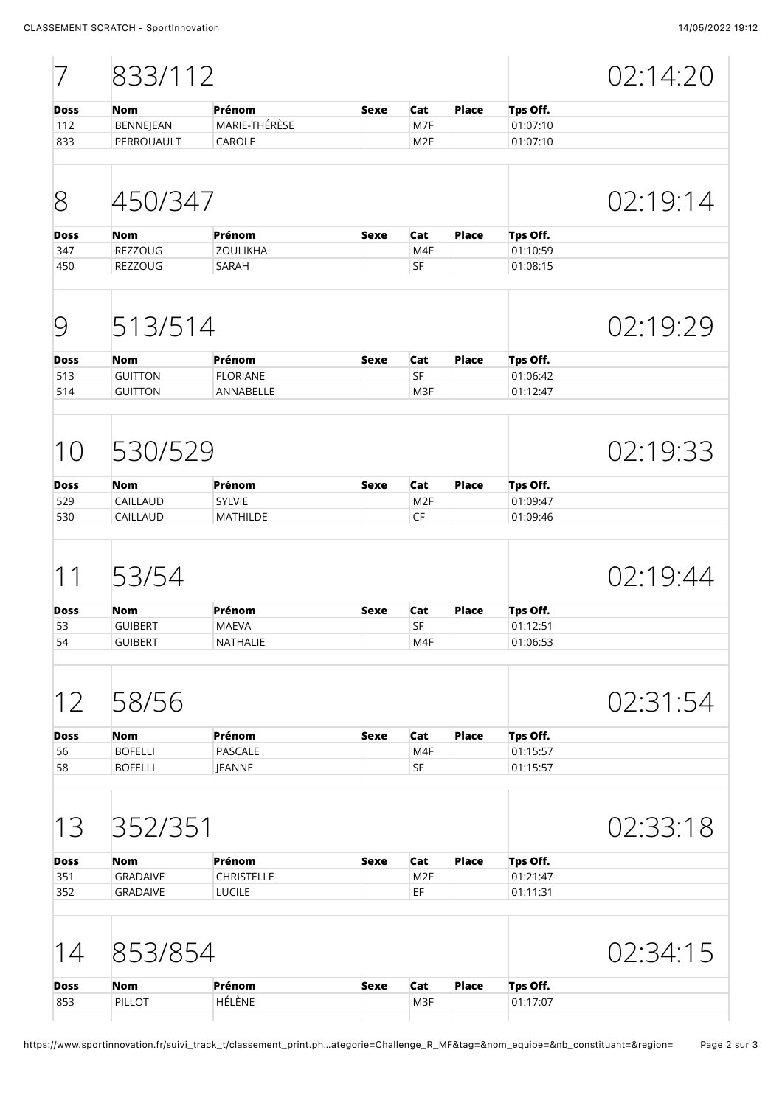|                                   | 833/112         |                   |             |                 |              |          | 02:14:20 |
|-----------------------------------|-----------------|-------------------|-------------|-----------------|--------------|----------|----------|
| <b>Doss</b>                       | <b>Nom</b>      | Prénom            | <b>Sexe</b> | Cat             | <b>Place</b> | Tps Off. |          |
| 112                               | BENNEJEAN       | MARIE-THÉRÈSE     |             | M7F             |              | 01:07:10 |          |
| 833                               | PERROUAULT      | CAROLE            |             | M <sub>2F</sub> |              | 01:07:10 |          |
| 8                                 | 450/347         |                   |             |                 |              |          | 02:19:14 |
| <b>Doss</b>                       | <b>Nom</b>      | Prénom            | <b>Sexe</b> | Cat             | Place        | Tps Off. |          |
| 347                               | <b>REZZOUG</b>  | <b>ZOULIKHA</b>   |             | M <sub>4F</sub> |              | 01:10:59 |          |
| 450                               | REZZOUG         | SARAH             |             | SF              |              | 01:08:15 |          |
| 9                                 | 513/514         |                   |             |                 |              |          | 02:19:29 |
| <b>Doss</b>                       | <b>Nom</b>      | Prénom            | <b>Sexe</b> | Cat             | <b>Place</b> | Tps Off. |          |
| 513                               | <b>GUITTON</b>  | <b>FLORIANE</b>   |             | SF              |              | 01:06:42 |          |
| 514                               | <b>GUITTON</b>  | ANNABELLE         |             | M3F             |              | 01:12:47 |          |
| 10                                | 530/529         |                   |             |                 |              |          | 02:19:33 |
| <b>Doss</b>                       | <b>Nom</b>      | Prénom            | <b>Sexe</b> | Cat             | <b>Place</b> | Tps Off. |          |
| 529                               | CAILLAUD        | <b>SYLVIE</b>     |             | M <sub>2F</sub> |              | 01:09:47 |          |
| 530                               | CAILLAUD        | <b>MATHILDE</b>   |             | CF              |              | 01:09:46 |          |
| $\mathcal{I}$<br>$\left  \right $ | 53/54           |                   |             |                 |              |          | 02:19:44 |
| <b>Doss</b>                       | <b>Nom</b>      | Prénom            | <b>Sexe</b> | Cat             | <b>Place</b> | Tps Off. |          |
| 53                                | <b>GUIBERT</b>  | <b>MAEVA</b>      |             | SF              |              | 01:12:51 |          |
| 54                                | <b>GUIBERT</b>  | NATHALIE          |             | M4F             |              | 01:06:53 |          |
| 12                                | 58/56           |                   |             |                 |              |          | 02:31:54 |
| <b>Doss</b>                       | Nom             | Prénom            | <b>Sexe</b> | Cat             | <b>Place</b> | Tps Off. |          |
| 56                                | <b>BOFELLI</b>  | PASCALE           |             | M4F             |              | 01:15:57 |          |
| 58                                | <b>BOFELLI</b>  | JEANNE            |             | <b>SF</b>       |              | 01:15:57 |          |
| 13                                | 352/351         |                   |             |                 |              |          | 02:33:18 |
| <b>Doss</b>                       | Nom             | Prénom            | <b>Sexe</b> | Cat             | <b>Place</b> | Tps Off. |          |
| 351                               | <b>GRADAIVE</b> | <b>CHRISTELLE</b> |             | M <sub>2F</sub> |              | 01:21:47 |          |
| 352                               | <b>GRADAIVE</b> | LUCILE            |             | EF              |              | 01:11:31 |          |
| 14                                | 853/854         |                   |             |                 |              |          | 02:34:15 |
| <b>Doss</b>                       | Nom             | Prénom            | <b>Sexe</b> | Cat             | <b>Place</b> | Tps Off. |          |
| 853                               | PILLOT          | HÉLÈNE            |             | M3F             |              | 01:17:07 |          |
|                                   |                 |                   |             |                 |              |          |          |